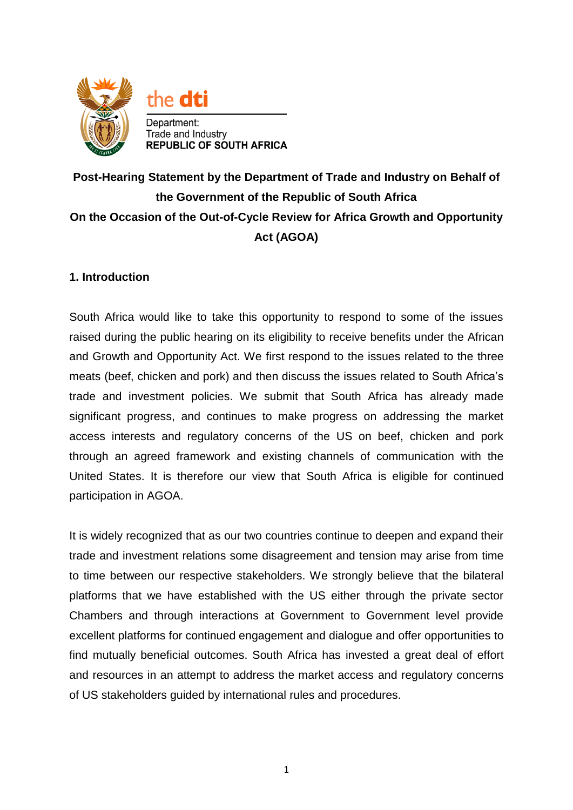

# **Post-Hearing Statement by the Department of Trade and Industry on Behalf of the Government of the Republic of South Africa On the Occasion of the Out-of-Cycle Review for Africa Growth and Opportunity Act (AGOA)**

# **1. Introduction**

South Africa would like to take this opportunity to respond to some of the issues raised during the public hearing on its eligibility to receive benefits under the African and Growth and Opportunity Act. We first respond to the issues related to the three meats (beef, chicken and pork) and then discuss the issues related to South Africa's trade and investment policies. We submit that South Africa has already made significant progress, and continues to make progress on addressing the market access interests and regulatory concerns of the US on beef, chicken and pork through an agreed framework and existing channels of communication with the United States. It is therefore our view that South Africa is eligible for continued participation in AGOA.

It is widely recognized that as our two countries continue to deepen and expand their trade and investment relations some disagreement and tension may arise from time to time between our respective stakeholders. We strongly believe that the bilateral platforms that we have established with the US either through the private sector Chambers and through interactions at Government to Government level provide excellent platforms for continued engagement and dialogue and offer opportunities to find mutually beneficial outcomes. South Africa has invested a great deal of effort and resources in an attempt to address the market access and regulatory concerns of US stakeholders guided by international rules and procedures.

1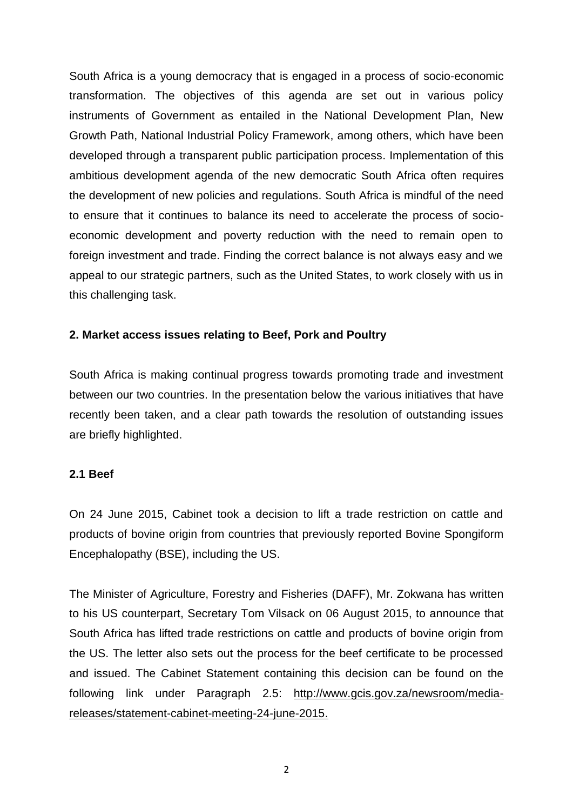South Africa is a young democracy that is engaged in a process of socio-economic transformation. The objectives of this agenda are set out in various policy instruments of Government as entailed in the National Development Plan, New Growth Path, National Industrial Policy Framework, among others, which have been developed through a transparent public participation process. Implementation of this ambitious development agenda of the new democratic South Africa often requires the development of new policies and regulations. South Africa is mindful of the need to ensure that it continues to balance its need to accelerate the process of socioeconomic development and poverty reduction with the need to remain open to foreign investment and trade. Finding the correct balance is not always easy and we appeal to our strategic partners, such as the United States, to work closely with us in this challenging task.

## **2. Market access issues relating to Beef, Pork and Poultry**

South Africa is making continual progress towards promoting trade and investment between our two countries. In the presentation below the various initiatives that have recently been taken, and a clear path towards the resolution of outstanding issues are briefly highlighted.

# **2.1 Beef**

On 24 June 2015, Cabinet took a decision to lift a trade restriction on cattle and products of bovine origin from countries that previously reported Bovine Spongiform Encephalopathy (BSE), including the US.

The Minister of Agriculture, Forestry and Fisheries (DAFF), Mr. Zokwana has written to his US counterpart, Secretary Tom Vilsack on 06 August 2015, to announce that South Africa has lifted trade restrictions on cattle and products of bovine origin from the US. The letter also sets out the process for the beef certificate to be processed and issued. The Cabinet Statement containing this decision can be found on the following link under Paragraph 2.5: [http://www.gcis.gov.za/newsroom/media](http://www.gcis.gov.za/newsroom/media-releases/statement-cabinet-meeting-24-june-2015)[releases/statement-cabinet-meeting-24-june-2015.](http://www.gcis.gov.za/newsroom/media-releases/statement-cabinet-meeting-24-june-2015)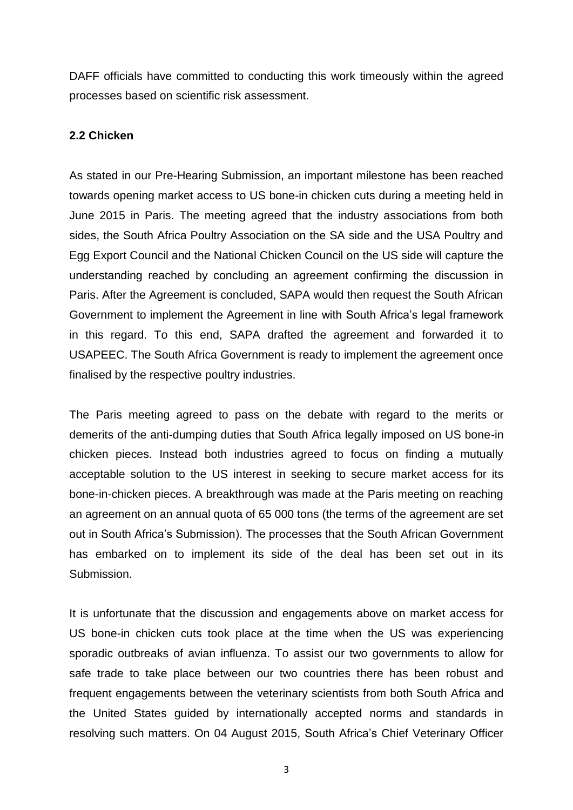DAFF officials have committed to conducting this work timeously within the agreed processes based on scientific risk assessment.

### **2.2 Chicken**

As stated in our Pre-Hearing Submission, an important milestone has been reached towards opening market access to US bone-in chicken cuts during a meeting held in June 2015 in Paris. The meeting agreed that the industry associations from both sides, the South Africa Poultry Association on the SA side and the USA Poultry and Egg Export Council and the National Chicken Council on the US side will capture the understanding reached by concluding an agreement confirming the discussion in Paris. After the Agreement is concluded, SAPA would then request the South African Government to implement the Agreement in line with South Africa's legal framework in this regard. To this end, SAPA drafted the agreement and forwarded it to USAPEEC. The South Africa Government is ready to implement the agreement once finalised by the respective poultry industries.

The Paris meeting agreed to pass on the debate with regard to the merits or demerits of the anti-dumping duties that South Africa legally imposed on US bone-in chicken pieces. Instead both industries agreed to focus on finding a mutually acceptable solution to the US interest in seeking to secure market access for its bone-in-chicken pieces. A breakthrough was made at the Paris meeting on reaching an agreement on an annual quota of 65 000 tons (the terms of the agreement are set out in South Africa's Submission). The processes that the South African Government has embarked on to implement its side of the deal has been set out in its Submission.

It is unfortunate that the discussion and engagements above on market access for US bone-in chicken cuts took place at the time when the US was experiencing sporadic outbreaks of avian influenza. To assist our two governments to allow for safe trade to take place between our two countries there has been robust and frequent engagements between the veterinary scientists from both South Africa and the United States guided by internationally accepted norms and standards in resolving such matters. On 04 August 2015, South Africa's Chief Veterinary Officer

3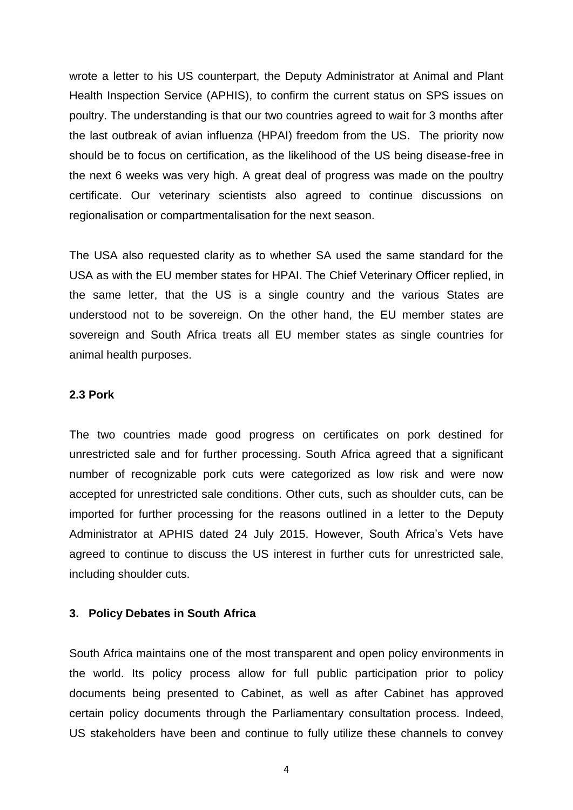wrote a letter to his US counterpart, the Deputy Administrator at Animal and Plant Health Inspection Service (APHIS), to confirm the current status on SPS issues on poultry. The understanding is that our two countries agreed to wait for 3 months after the last outbreak of avian influenza (HPAI) freedom from the US. The priority now should be to focus on certification, as the likelihood of the US being disease-free in the next 6 weeks was very high. A great deal of progress was made on the poultry certificate. Our veterinary scientists also agreed to continue discussions on regionalisation or compartmentalisation for the next season.

The USA also requested clarity as to whether SA used the same standard for the USA as with the EU member states for HPAI. The Chief Veterinary Officer replied, in the same letter, that the US is a single country and the various States are understood not to be sovereign. On the other hand, the EU member states are sovereign and South Africa treats all EU member states as single countries for animal health purposes.

#### **2.3 Pork**

The two countries made good progress on certificates on pork destined for unrestricted sale and for further processing. South Africa agreed that a significant number of recognizable pork cuts were categorized as low risk and were now accepted for unrestricted sale conditions. Other cuts, such as shoulder cuts, can be imported for further processing for the reasons outlined in a letter to the Deputy Administrator at APHIS dated 24 July 2015. However, South Africa's Vets have agreed to continue to discuss the US interest in further cuts for unrestricted sale, including shoulder cuts.

#### **3. Policy Debates in South Africa**

South Africa maintains one of the most transparent and open policy environments in the world. Its policy process allow for full public participation prior to policy documents being presented to Cabinet, as well as after Cabinet has approved certain policy documents through the Parliamentary consultation process. Indeed, US stakeholders have been and continue to fully utilize these channels to convey